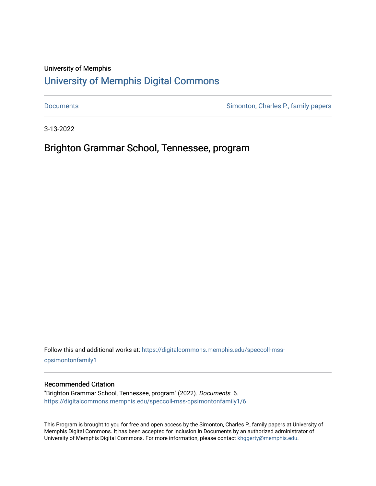## University of Memphis

# [University of Memphis Digital Commons](https://digitalcommons.memphis.edu/)

[Documents](https://digitalcommons.memphis.edu/speccoll-mss-cpsimontonfamily1) **Simonton, Charles P., family papers** 

3-13-2022

Brighton Grammar School, Tennessee, program

Follow this and additional works at: [https://digitalcommons.memphis.edu/speccoll-mss](https://digitalcommons.memphis.edu/speccoll-mss-cpsimontonfamily1?utm_source=digitalcommons.memphis.edu%2Fspeccoll-mss-cpsimontonfamily1%2F6&utm_medium=PDF&utm_campaign=PDFCoverPages)[cpsimontonfamily1](https://digitalcommons.memphis.edu/speccoll-mss-cpsimontonfamily1?utm_source=digitalcommons.memphis.edu%2Fspeccoll-mss-cpsimontonfamily1%2F6&utm_medium=PDF&utm_campaign=PDFCoverPages) 

#### Recommended Citation

"Brighton Grammar School, Tennessee, program" (2022). Documents. 6. [https://digitalcommons.memphis.edu/speccoll-mss-cpsimontonfamily1/6](https://digitalcommons.memphis.edu/speccoll-mss-cpsimontonfamily1/6?utm_source=digitalcommons.memphis.edu%2Fspeccoll-mss-cpsimontonfamily1%2F6&utm_medium=PDF&utm_campaign=PDFCoverPages) 

This Program is brought to you for free and open access by the Simonton, Charles P., family papers at University of Memphis Digital Commons. It has been accepted for inclusion in Documents by an authorized administrator of University of Memphis Digital Commons. For more information, please contact [khggerty@memphis.edu](mailto:khggerty@memphis.edu).